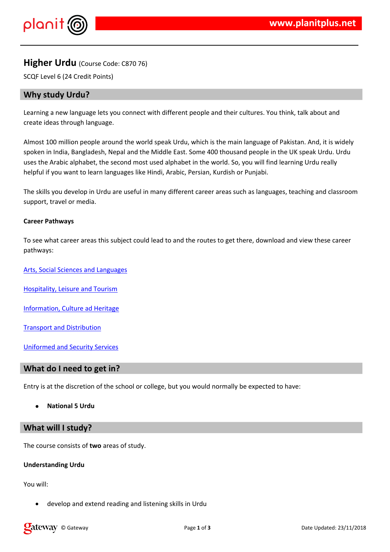## $!$  " # \$ % & & '

- 
- )  $/$  . & ( \$ ) .  $(-')$  0 \$ ) . & ' ) \$ \*&\$\$\$ & ''& '  $$S$  $\sqrt{5}$   $\sqrt{5}$   $\sqrt{3}$   $\sqrt{5}$   $\sqrt{6}$   $\sqrt{6}$   $\sqrt{6}$   $\sqrt{6}$   $\sqrt{6}$   $\sqrt{6}$   $\sqrt{6}$   $\sqrt{6}$   $\sqrt{6}$   $\sqrt{6}$   $\sqrt{6}$   $\sqrt{6}$   $\sqrt{6}$   $\sqrt{6}$   $\sqrt{6}$   $\sqrt{6}$   $\sqrt{6}$   $\sqrt{6}$   $\sqrt{6}$   $\sqrt{6}$   $\sqrt{6}$   $\sqrt{6}$   $\sqrt{6}$   $\sqrt{6$  $9538$
- 9)  $.8$  \$ \$  $.8'$  \$ \$ \$ \$ 0 & \* ( ( ) \$ ' ( )
- $(9)$   $(8)(8)(55)$  $9 - 15 + 8$  $\lambda$  $\begin{array}{c} \hline \end{array}$
- $1 (8(85)^\circ (10^{11})^\circ)$
- 7 & \$ & " & & 0
- $1'$  0 &  $-$  \$ 7 &
- 9 ' 8 & & 8 '
- $80$   $8$   $78$
- $5'$  & ) & (  $\left(\frac{1}{2} \times \frac{1}{3} \times \frac{1}{2} \times \frac{1}{2} \times \frac{1}{2} \times \frac{1}{2} \times \frac{1}{2} \times \frac{1}{2} \times \frac{1}{2} \times \frac{1}{2} \times \frac{1}{2} \times \frac{1}{2} \times \frac{1}{2} \times \frac{1}{2} \times \frac{1}{2} \times \frac{1}{2} \times \frac{1}{2} \times \frac{1}{2} \times \frac{1}{2} \times \frac{1}{2} \times \frac{1}{2} \times \frac{1}{2} \times \frac{1}{2}$

 $\star$ 

 $9)$  (  $8$ 

 $+ 8$ \$\$

# \$ ' : ' ' &\$'& '&' , & \$ \$ & '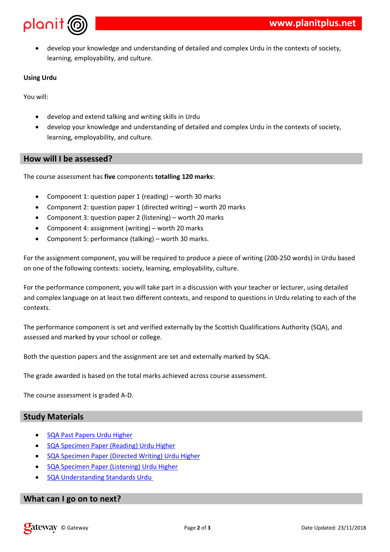& \$ \$  $+$ 

> $\#$  \$  $\therefore$   $\frac{1}{3}$ , & & &  $\frac{1}{3}$ , & & &  $\frac{1}{3}$  $\#$  \$, \$, \$ \ \ \ \ & \ \ & \$ \ \ ( O \$ & \ ) ( \ \ \ ( \ & \ - $$ '8' - 0 $ .8 $8 - ' ($$  $\star$

- $(0 \quad 0 \quad )$   $(0 \quad 1 \quad 1 \quad 1 \quad 2)$  $9)$  (
	- $0'$  ;  $8'$   $8 \times$  ) 0 ,  $\begin{array}{ccccccccc}\n8 & 8 & 0 & 8 & 8 \\
	& 0 & 0 & 0 & 0 \\
	& & 0 & 0 & 0\n\end{array}$  $0 \qquad \qquad$  $\frac{1}{2}$
	- $\begin{array}{ccccccc}\n0 & 1 & 1 & 1 & 1 \\
	0 & 0 & 1 & 1 & 1\n\end{array}$  $8'$   $$8'$   $8'$   $)<0$ ,
	- $8'088'$   $\triangleleft$  0,  $0$  '' %
	- $0'$   $' =$   $0'(\$, 8<$   $) 0$ , \*

 $(1, 1)$  8  $(0, 0)$  (  $(0, 0)$   $(0, 0)$   $(0, 0)$   $(0, 0)$   $(0, 0)$   $(0, 0)$   $(0, 0)$   $(0, 0)$   $(0, 0)$   $(0, 0)$   $(0, 0)$   $(0, 0)$   $(0, 0)$   $(0, 0)$   $(0, 0)$   $(0, 0)$   $(0, 0)$   $(0, 0)$   $(0, 0)$   $(0, 0)$   $(0, 0)$   $(0, 0)$   $8'0'$  (0'  $8\$   $8\$  . ; & ( & ( & &' > = &'

- 0 ( ( 0 ' ' & \$\$, & ' & ( & ' & ) 0 '( ( 0 ' ' 8 \$ \$ , 8 ' 8 ( 8 ' 8 ) ( ) \$ (<br>( 0 \$ : \$ ' \$ ' 8 ' ( ' : - '' ; 8 8 ' \$ 8 ' ( )  $\mathbf{I}$  $\overline{\phantom{a}}$  $\frac{1}{2}$  (  $(\begin{array}{cccc} \cdot & \cdot & \cdot & \star \\ \cdot & \cdot & \cdot & \end{array})$
- 9)  $0'$  (  $0'$  & '  $\frac{1}{2}$  & & '  $\frac{1}{2}$  \$ ) ( & \$) & & ( & '  $/$   $/$   $/$  &  $'$  0, () \$ (\$\$ \*
- $2$  ) ); & ' ) ' & '0 ' ' : ' \$\$ 0 , . /\*
- $8$  .)  $'0\$ , ()  $8$  # (  $0<sup>1</sup>$  \* 9)
- 9)  $($  0  $\&$  >  $*$

 $\mathbb{S}$  $\frac{1}{2}$ 

> 1 7&)<br>
> 1 (&0 ' ? &' 7&)<br>
> 1 (&0 ' & (@ & &' 7&)<br>
> 1 (&0 ' "& '&' 7&)

 $\alpha$